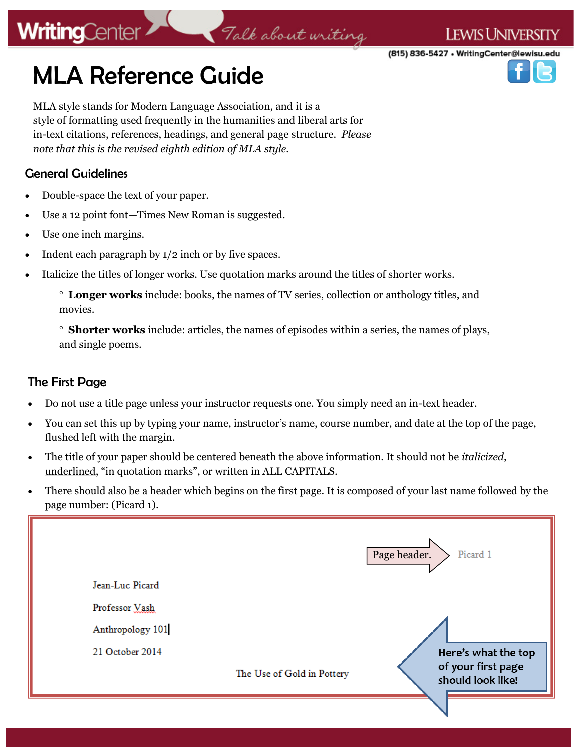# **WritingCenter**

**LEWIS UNIVERSITY** 

(815) 836-5427 • WritingCenter@lewisu.edu

# MLA Reference Guide

MLA style stands for Modern Language Association, and it is a style of formatting used frequently in the humanities and liberal arts for in-text citations, references, headings, and general page structure. *Please note that this is the revised eighth edition of MLA style.* 

### General Guidelines

- Double-space the text of your paper.
- Use a 12 point font—Times New Roman is suggested.
- Use one inch margins.
- Indent each paragraph by 1/2 inch or by five spaces.
- Italicize the titles of longer works. Use quotation marks around the titles of shorter works.

Talk about writing

 **Shorter works** include: articles, the names of episodes within a series, the names of plays, and single poems.

### The First Page

- Do not use a title page unless your instructor requests one. You simply need an in-text header.
- You can set this up by typing your name, instructor's name, course number, and date at the top of the page, flushed left with the margin.
- The title of your paper should be centered beneath the above information. It should not be *italicized*, underlined, "in quotation marks", or written in ALL CAPITALS.
- There should also be a header which begins on the first page. It is composed of your last name followed by the page number: (Picard 1).



**Longer works** include: books, the names of TV series, collection or anthology titles, and movies.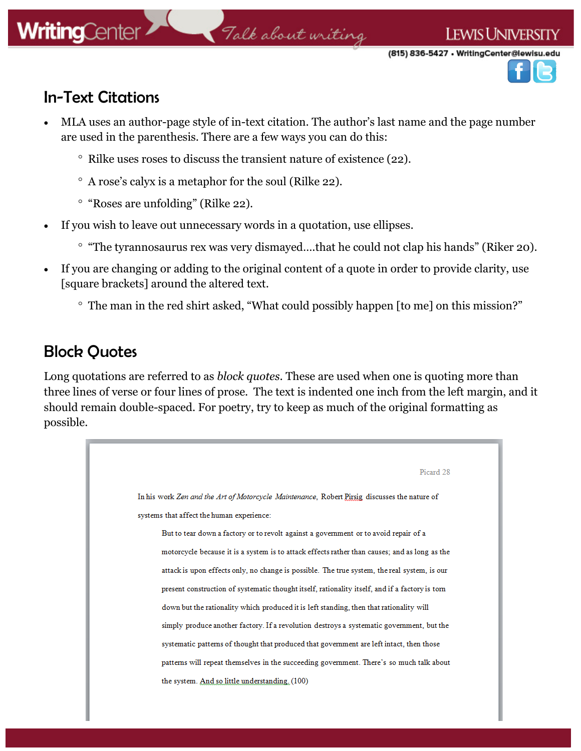# **WritingCenter**

# Talk about writing

(815) 836-5427 • WritingCenter@lewisu.edu

**LEWIS UNIVERSITY** 



### In-Text Citations

- MLA uses an author-page style of in-text citation. The author's last name and the page number are used in the parenthesis. There are a few ways you can do this:
	- $\degree$  Rilke uses roses to discuss the transient nature of existence (22).
	- A rose's calyx is a metaphor for the soul (Rilke 22).
	- ° "Roses are unfolding" (Rilke 22).
- If you wish to leave out unnecessary words in a quotation, use ellipses.
	- ° "The tyrannosaurus rex was very dismayed....that he could not clap his hands" (Riker 20).
- If you are changing or adding to the original content of a quote in order to provide clarity, use [square brackets] around the altered text.
	- The man in the red shirt asked, "What could possibly happen [to me] on this mission?"

### Block Quotes

Long quotations are referred to as *block quotes*. These are used when one is quoting more than three lines of verse or four lines of prose. The text is indented one inch from the left margin, and it should remain double-spaced. For poetry, try to keep as much of the original formatting as possible.